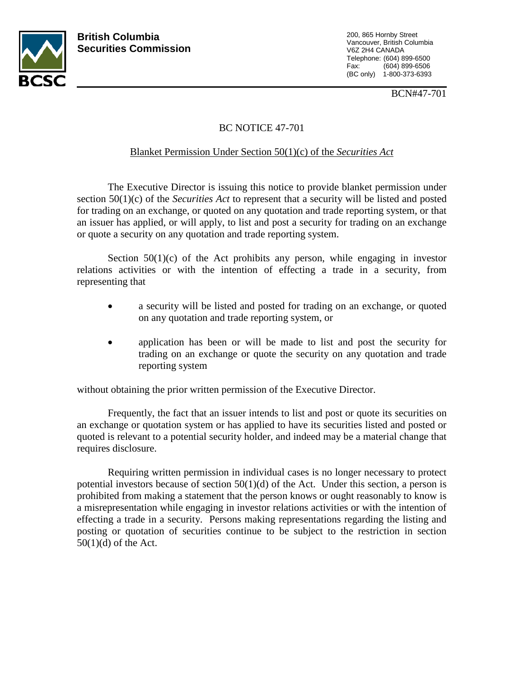

200, 865 Hornby Street Vancouver, British Columbia V6Z 2H4 CANADA Telephone: (604) 899-6500 Fax: (604) 899-6506 (BC only) 1-800-373-6393

BCN#47-701

## BC NOTICE 47-701

## Blanket Permission Under Section 50(1)(c) of the *Securities Act*

The Executive Director is issuing this notice to provide blanket permission under section 50(1)(c) of the *Securities Act* to represent that a security will be listed and posted for trading on an exchange, or quoted on any quotation and trade reporting system, or that an issuer has applied, or will apply, to list and post a security for trading on an exchange or quote a security on any quotation and trade reporting system.

Section  $50(1)(c)$  of the Act prohibits any person, while engaging in investor relations activities or with the intention of effecting a trade in a security, from representing that

- a security will be listed and posted for trading on an exchange, or quoted on any quotation and trade reporting system, or
- application has been or will be made to list and post the security for trading on an exchange or quote the security on any quotation and trade reporting system

without obtaining the prior written permission of the Executive Director.

Frequently, the fact that an issuer intends to list and post or quote its securities on an exchange or quotation system or has applied to have its securities listed and posted or quoted is relevant to a potential security holder, and indeed may be a material change that requires disclosure.

Requiring written permission in individual cases is no longer necessary to protect potential investors because of section  $50(1)(d)$  of the Act. Under this section, a person is prohibited from making a statement that the person knows or ought reasonably to know is a misrepresentation while engaging in investor relations activities or with the intention of effecting a trade in a security. Persons making representations regarding the listing and posting or quotation of securities continue to be subject to the restriction in section 50(1)(d) of the Act.